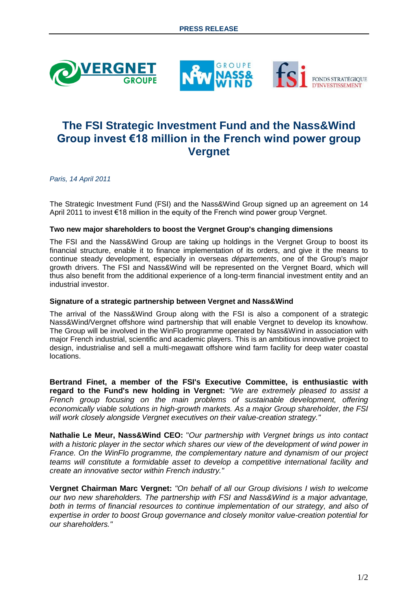





# **The FSI Strategic Investment Fund and the Nass&Wind Group invest €18 million in the French wind power group Vergnet**

*Paris, 14 April 2011*

The Strategic Investment Fund (FSI) and the Nass&Wind Group signed up an agreement on 14 April 2011 to invest €18 million in the equity of the French wind power group Vergnet.

## **Two new major shareholders to boost the Vergnet Group's changing dimensions**

The FSI and the Nass&Wind Group are taking up holdings in the Vergnet Group to boost its financial structure, enable it to finance implementation of its orders, and give it the means to continue steady development, especially in overseas *départements*, one of the Group's major growth drivers. The FSI and Nass&Wind will be represented on the Vergnet Board, which will thus also benefit from the additional experience of a long-term financial investment entity and an industrial investor.

## **Signature of a strategic partnership between Vergnet and Nass&Wind**

The arrival of the Nass&Wind Group along with the FSI is also a component of a strategic Nass&Wind/Vergnet offshore wind partnership that will enable Vergnet to develop its knowhow. The Group will be involved in the WinFlo programme operated by Nass&Wind in association with major French industrial, scientific and academic players. This is an ambitious innovative project to design, industrialise and sell a multi-megawatt offshore wind farm facility for deep water coastal locations.

**Bertrand Finet, a member of the FSI's Executive Committee, is enthusiastic with regard to the Fund's new holding in Vergnet:** *"We are extremely pleased to assist a French group focusing on the main problems of sustainable development, offering economically viable solutions in high-growth markets. As a major Group shareholder, the FSI will work closely alongside Vergnet executives on their value-creation strategy."*

**Nathalie Le Meur, Nass&Wind CEO:** "*Our partnership with Vergnet brings us into contact with a historic player in the sector which shares our view of the development of wind power in France. On the WinFlo programme, the complementary nature and dynamism of our project teams will constitute a formidable asset to develop a competitive international facility and create an innovative sector within French industry."*

**Vergnet Chairman Marc Vergnet:** *"On behalf of all our Group divisions I wish to welcome our two new shareholders. The partnership with FSI and Nass&Wind is a major advantage,*  both in terms of financial resources to continue implementation of our strategy, and also of *expertise in order to boost Group governance and closely monitor value-creation potential for our shareholders."*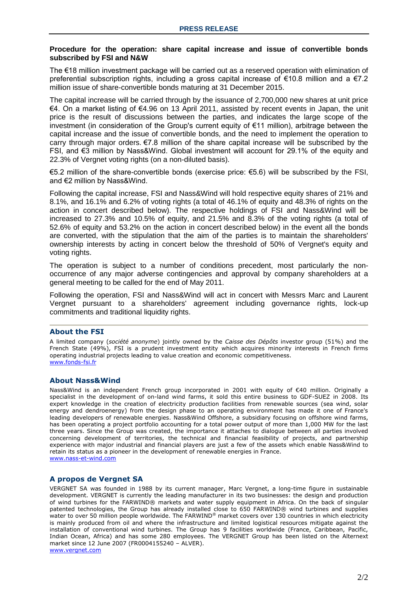#### **Procedure for the operation: share capital increase and issue of convertible bonds subscribed by FSI and N&W**

The €18 million investment package will be carried out as a reserved operation with elimination of preferential subscription rights, including a gross capital increase of  $\epsilon$ 10.8 million and a  $\epsilon$ 7.2 million issue of share-convertible bonds maturing at 31 December 2015.

The capital increase will be carried through by the issuance of 2,700,000 new shares at unit price €4. On a market listing of €4.96 on 13 April 2011, assisted by recent events in Japan, the unit price is the result of discussions between the parties, and indicates the large scope of the investment (in consideration of the Group's current equity of €11 million), arbitrage between the capital increase and the issue of convertible bonds, and the need to implement the operation to carry through major orders. €7.8 million of the share capital increase will be subscribed by the FSI, and €3 million by Nass&Wind. Global investment will account for 29.1% of the equity and 22.3% of Vergnet voting rights (on a non-diluted basis).

€5.2 million of the share-convertible bonds (exercise price: €5.6) will be subscribed by the FSI, and €2 million by Nass&Wind.

Following the capital increase, FSI and Nass&Wind will hold respective equity shares of 21% and 8.1%, and 16.1% and 6.2% of voting rights (a total of 46.1% of equity and 48.3% of rights on the action in concert described below). The respective holdings of FSI and Nass&Wind will be increased to 27.3% and 10.5% of equity, and 21.5% and 8.3% of the voting rights (a total of 52.6% of equity and 53.2% on the action in concert described below) in the event all the bonds are converted, with the stipulation that the aim of the parties is to maintain the shareholders' ownership interests by acting in concert below the threshold of 50% of Vergnet's equity and voting rights.

The operation is subject to a number of conditions precedent, most particularly the nonoccurrence of any major adverse contingencies and approval by company shareholders at a general meeting to be called for the end of May 2011.

Following the operation, FSI and Nass&Wind will act in concert with Messrs Marc and Laurent Vergnet pursuant to a shareholders' agreement including governance rights, lock-up commitments and traditional liquidity rights.

## **About the FSI**

A limited company (*société anonyme*) jointly owned by the *Caisse des Dépôts* investor group (51%) and the French State (49%), FSI is a prudent investment entity which acquires minority interests in French firms operating industrial projects leading to value creation and economic competitiveness. [www.fonds-fsi.fr](http://www.fonds-fsi.fr/)

#### **About Nass&Wind**

Nass&Wind is an independent French group incorporated in 2001 with equity of €40 million. Originally a specialist in the development of on-land wind farms, it sold this entire business to GDF-SUEZ in 2008. Its expert knowledge in the creation of electricity production facilities from renewable sources (sea wind, solar energy and dendroenergy) from the design phase to an operating environment has made it one of France's leading developers of renewable energies. Nass&Wind Offshore, a subsidiary focusing on offshore wind farms, has been operating a project portfolio accounting for a total power output of more than 1,000 MW for the last three years. Since the Group was created, the importance it attaches to dialogue between all parties involved concerning development of territories, the technical and financial feasibility of projects, and partnership experience with major industrial and financial players are just a few of the assets which enable Nass&Wind to retain its status as a pioneer in the development of renewable energies in France. [www.nass-et-wind.com](http://www.nass-et-wind.com/)

## **A propos de Vergnet SA**

VERGNET SA was founded in 1988 by its current manager, Marc Vergnet, a long-time figure in sustainable development. VERGNET is currently the leading manufacturer in its two businesses: the design and production of wind turbines for the FARWIND® markets and water supply equipment in Africa. On the back of singular patented technologies, the Group has already installed close to 650 FARWIND® wind turbines and supplies water to over 50 million people worldwide. The FARWIND® market covers over 130 countries in which electricity is mainly produced from oil and where the infrastructure and limited logistical resources mitigate against the installation of conventional wind turbines. The Group has 9 facilities worldwide (France, Caribbean, Pacific, Indian Ocean, Africa) and has some 280 employees. The VERGNET Group has been listed on the Alternext market since 12 June 2007 (FR0004155240 – ALVER). [www.vergnet.com](http://www.vergnet.com/)